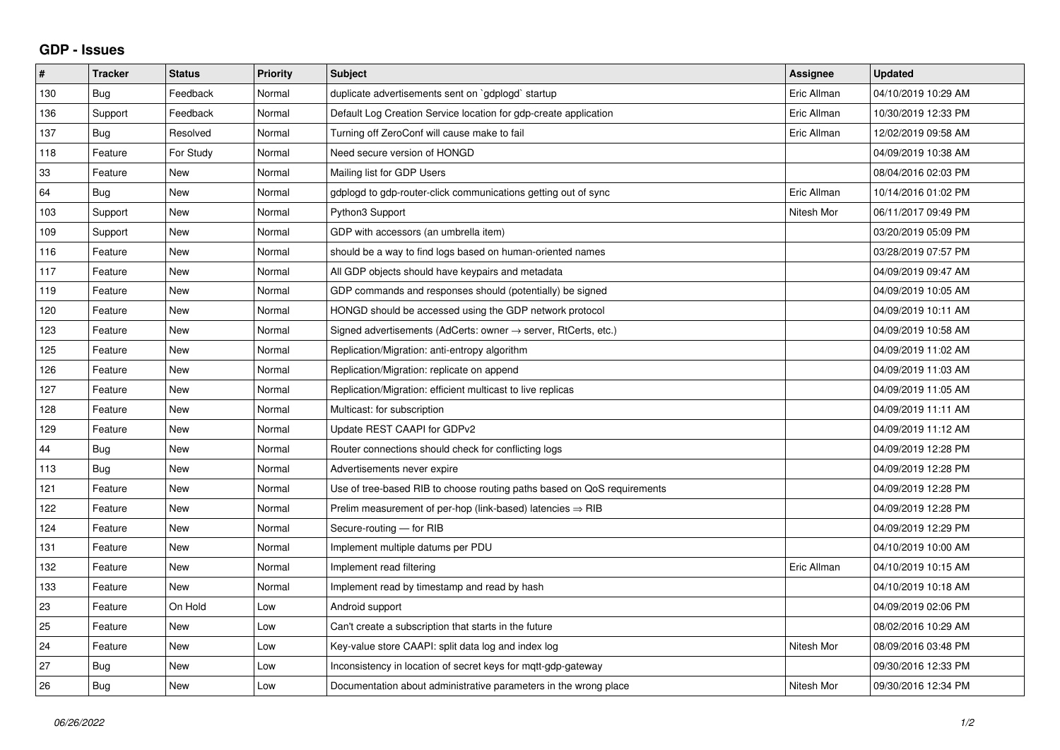## **GDP - Issues**

| #   | <b>Tracker</b> | <b>Status</b> | <b>Priority</b> | <b>Subject</b>                                                             | <b>Assignee</b> | <b>Updated</b>      |
|-----|----------------|---------------|-----------------|----------------------------------------------------------------------------|-----------------|---------------------|
| 130 | Bug            | Feedback      | Normal          | duplicate advertisements sent on `gdplogd` startup                         | Eric Allman     | 04/10/2019 10:29 AM |
| 136 | Support        | Feedback      | Normal          | Default Log Creation Service location for gdp-create application           | Eric Allman     | 10/30/2019 12:33 PM |
| 137 | Bug            | Resolved      | Normal          | Turning off ZeroConf will cause make to fail                               | Eric Allman     | 12/02/2019 09:58 AM |
| 118 | Feature        | For Study     | Normal          | Need secure version of HONGD                                               |                 | 04/09/2019 10:38 AM |
| 33  | Feature        | <b>New</b>    | Normal          | Mailing list for GDP Users                                                 |                 | 08/04/2016 02:03 PM |
| 64  | <b>Bug</b>     | <b>New</b>    | Normal          | gdplogd to gdp-router-click communications getting out of sync             | Eric Allman     | 10/14/2016 01:02 PM |
| 103 | Support        | <b>New</b>    | Normal          | Python3 Support                                                            | Nitesh Mor      | 06/11/2017 09:49 PM |
| 109 | Support        | New           | Normal          | GDP with accessors (an umbrella item)                                      |                 | 03/20/2019 05:09 PM |
| 116 | Feature        | <b>New</b>    | Normal          | should be a way to find logs based on human-oriented names                 |                 | 03/28/2019 07:57 PM |
| 117 | Feature        | <b>New</b>    | Normal          | All GDP objects should have keypairs and metadata                          |                 | 04/09/2019 09:47 AM |
| 119 | Feature        | <b>New</b>    | Normal          | GDP commands and responses should (potentially) be signed                  |                 | 04/09/2019 10:05 AM |
| 120 | Feature        | <b>New</b>    | Normal          | HONGD should be accessed using the GDP network protocol                    |                 | 04/09/2019 10:11 AM |
| 123 | Feature        | <b>New</b>    | Normal          | Signed advertisements (AdCerts: owner $\rightarrow$ server, RtCerts, etc.) |                 | 04/09/2019 10:58 AM |
| 125 | Feature        | <b>New</b>    | Normal          | Replication/Migration: anti-entropy algorithm                              |                 | 04/09/2019 11:02 AM |
| 126 | Feature        | New           | Normal          | Replication/Migration: replicate on append                                 |                 | 04/09/2019 11:03 AM |
| 127 | Feature        | <b>New</b>    | Normal          | Replication/Migration: efficient multicast to live replicas                |                 | 04/09/2019 11:05 AM |
| 128 | Feature        | <b>New</b>    | Normal          | Multicast: for subscription                                                |                 | 04/09/2019 11:11 AM |
| 129 | Feature        | New           | Normal          | Update REST CAAPI for GDPv2                                                |                 | 04/09/2019 11:12 AM |
| 44  | <b>Bug</b>     | <b>New</b>    | Normal          | Router connections should check for conflicting logs                       |                 | 04/09/2019 12:28 PM |
| 113 | Bug            | <b>New</b>    | Normal          | Advertisements never expire                                                |                 | 04/09/2019 12:28 PM |
| 121 | Feature        | <b>New</b>    | Normal          | Use of tree-based RIB to choose routing paths based on QoS requirements    |                 | 04/09/2019 12:28 PM |
| 122 | Feature        | <b>New</b>    | Normal          | Prelim measurement of per-hop (link-based) latencies $\Rightarrow$ RIB     |                 | 04/09/2019 12:28 PM |
| 124 | Feature        | <b>New</b>    | Normal          | Secure-routing - for RIB                                                   |                 | 04/09/2019 12:29 PM |
| 131 | Feature        | <b>New</b>    | Normal          | Implement multiple datums per PDU                                          |                 | 04/10/2019 10:00 AM |
| 132 | Feature        | <b>New</b>    | Normal          | Implement read filtering                                                   | Eric Allman     | 04/10/2019 10:15 AM |
| 133 | Feature        | <b>New</b>    | Normal          | Implement read by timestamp and read by hash                               |                 | 04/10/2019 10:18 AM |
| 23  | Feature        | On Hold       | Low             | Android support                                                            |                 | 04/09/2019 02:06 PM |
| 25  | Feature        | <b>New</b>    | Low             | Can't create a subscription that starts in the future                      |                 | 08/02/2016 10:29 AM |
| 24  | Feature        | New           | Low             | Key-value store CAAPI: split data log and index log                        | Nitesh Mor      | 08/09/2016 03:48 PM |
| 27  | Bug            | <b>New</b>    | Low             | Inconsistency in location of secret keys for mgtt-gdp-gateway              |                 | 09/30/2016 12:33 PM |
| 26  | <b>Bug</b>     | <b>New</b>    | Low             | Documentation about administrative parameters in the wrong place           | Nitesh Mor      | 09/30/2016 12:34 PM |